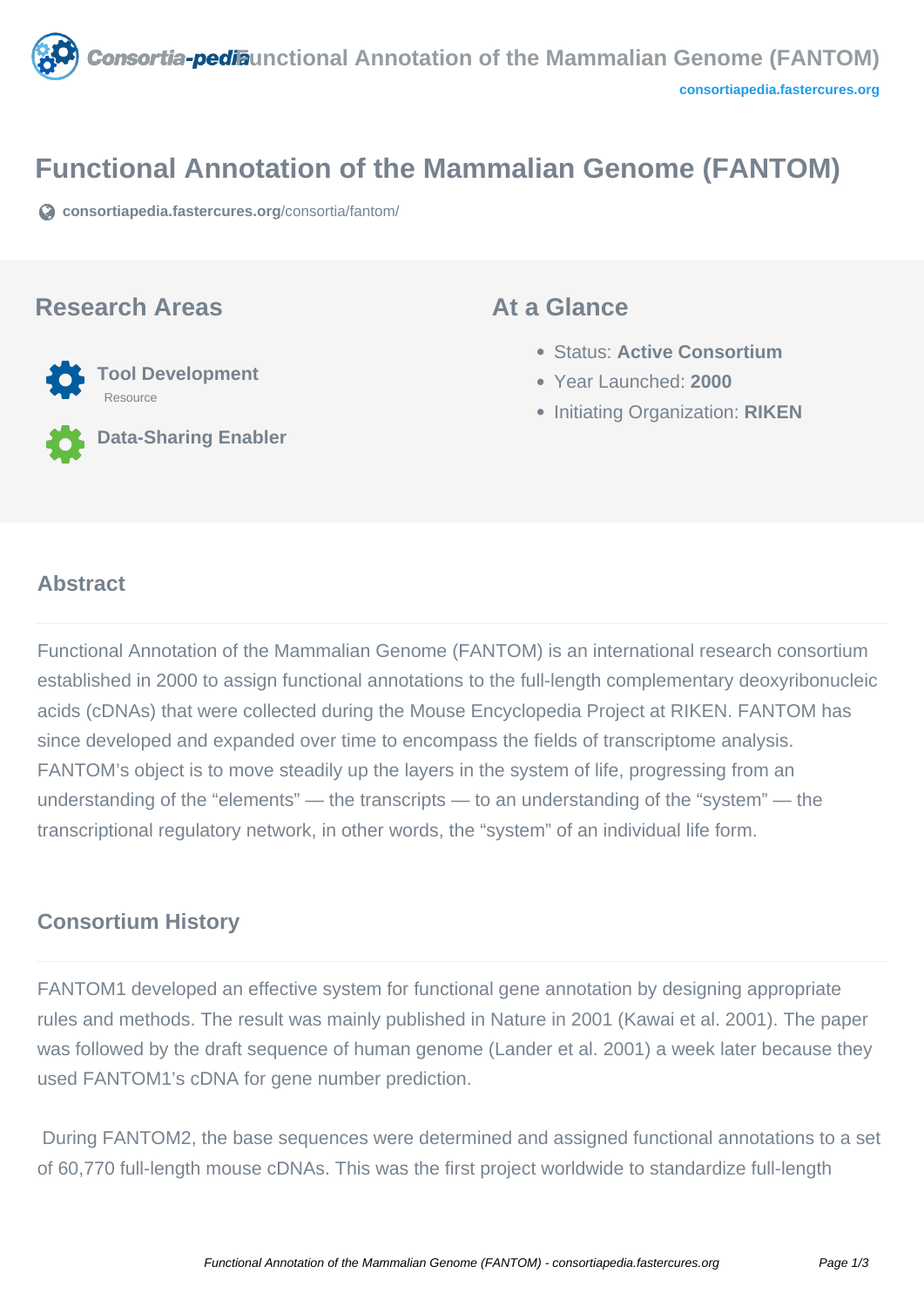

# **Functional Annotation of the Mammalian Genome (FANTOM)**

**[consortiapedia.fastercures.org](https://consortiapedia.fastercures.org/consortia/fantom/)**[/consortia/fantom/](https://consortiapedia.fastercures.org/consortia/fantom/)

## **Research Areas**



**Data-Sharing Enabler**

## **At a Glance**

- Status: **Active Consortium**
- Year Launched: **2000**
- **Initiating Organization: RIKEN**

#### $\overline{a}$ **Abstract**

Functional Annotation of the Mammalian Genome (FANTOM) is an international research consortium established in 2000 to assign functional annotations to the full-length complementary deoxyribonucleic acids (cDNAs) that were collected during the Mouse Encyclopedia Project at RIKEN. FANTOM has since developed and expanded over time to encompass the fields of transcriptome analysis. FANTOM's object is to move steadily up the layers in the system of life, progressing from an understanding of the "elements" — the transcripts — to an understanding of the "system" — the transcriptional regulatory network, in other words, the "system" of an individual life form.

# **Consortium History**

FANTOM1 developed an effective system for functional gene annotation by designing appropriate rules and methods. The result was mainly published in Nature in 2001 (Kawai et al. 2001). The paper was followed by the draft sequence of human genome (Lander et al. 2001) a week later because they used FANTOM1's cDNA for gene number prediction.

 During FANTOM2, the base sequences were determined and assigned functional annotations to a set of 60,770 full-length mouse cDNAs. This was the first project worldwide to standardize full-length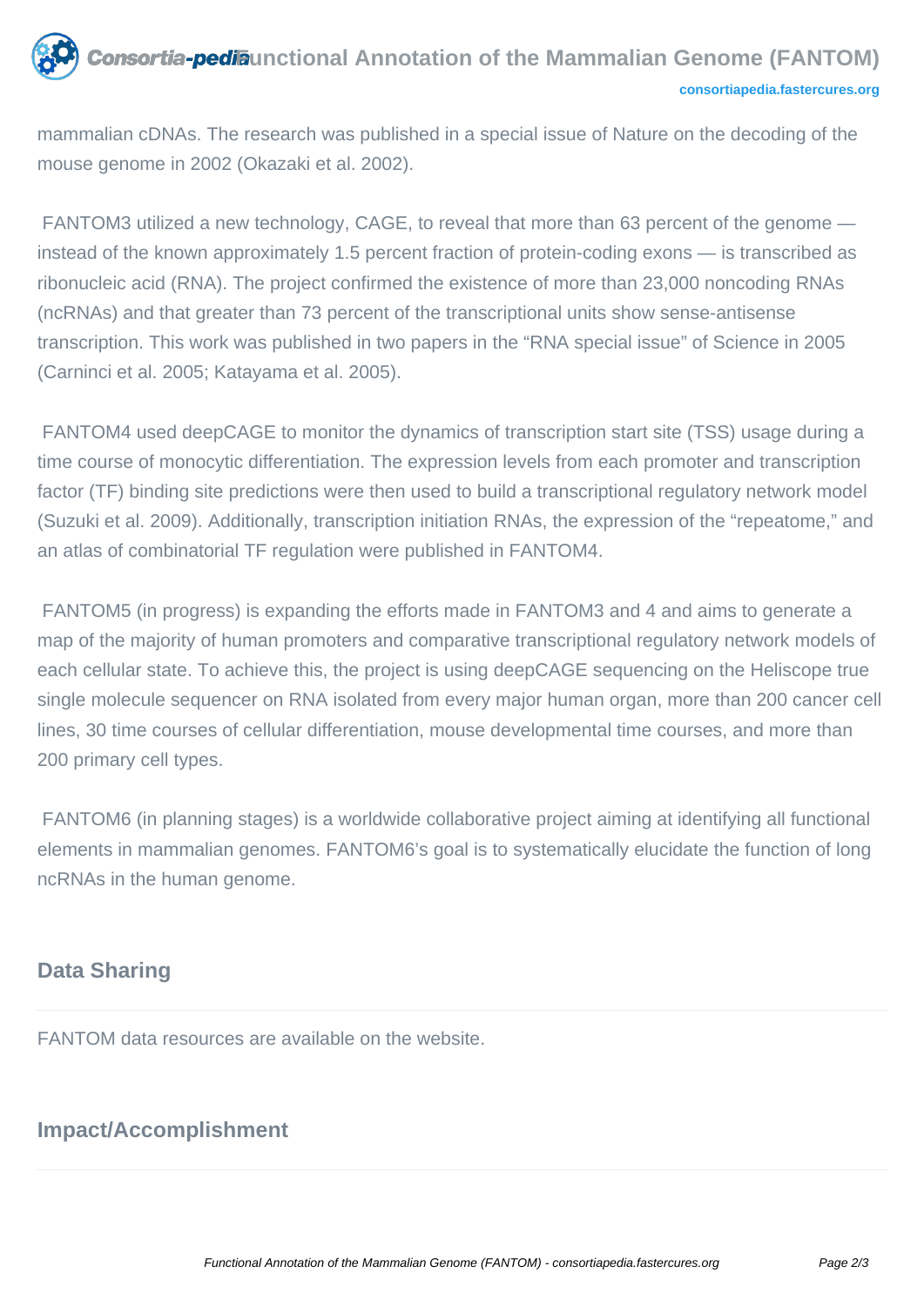## **Consortia-pedia**unctional Annotation of the Mammalian Genome (FANTOM) **[consortiapedia.fastercures.org](http://consortiapedia.fastercures.org/)**

mammalian cDNAs. The research was published in a special issue of Nature on the decoding of the mouse genome in 2002 (Okazaki et al. 2002).

 FANTOM3 utilized a new technology, CAGE, to reveal that more than 63 percent of the genome instead of the known approximately 1.5 percent fraction of protein-coding exons — is transcribed as ribonucleic acid (RNA). The project confirmed the existence of more than 23,000 noncoding RNAs (ncRNAs) and that greater than 73 percent of the transcriptional units show sense-antisense transcription. This work was published in two papers in the "RNA special issue" of Science in 2005 (Carninci et al. 2005; Katayama et al. 2005).

 FANTOM4 used deepCAGE to monitor the dynamics of transcription start site (TSS) usage during a time course of monocytic differentiation. The expression levels from each promoter and transcription factor (TF) binding site predictions were then used to build a transcriptional regulatory network model (Suzuki et al. 2009). Additionally, transcription initiation RNAs, the expression of the "repeatome," and an atlas of combinatorial TF regulation were published in FANTOM4.

 FANTOM5 (in progress) is expanding the efforts made in FANTOM3 and 4 and aims to generate a map of the majority of human promoters and comparative transcriptional regulatory network models of each cellular state. To achieve this, the project is using deepCAGE sequencing on the Heliscope true single molecule sequencer on RNA isolated from every major human organ, more than 200 cancer cell lines, 30 time courses of cellular differentiation, mouse developmental time courses, and more than 200 primary cell types.

 FANTOM6 (in planning stages) is a worldwide collaborative project aiming at identifying all functional elements in mammalian genomes. FANTOM6's goal is to systematically elucidate the function of long ncRNAs in the human genome.

# **Data Sharing**

FANTOM data resources are available on the website.

# **Impact/Accomplishment**